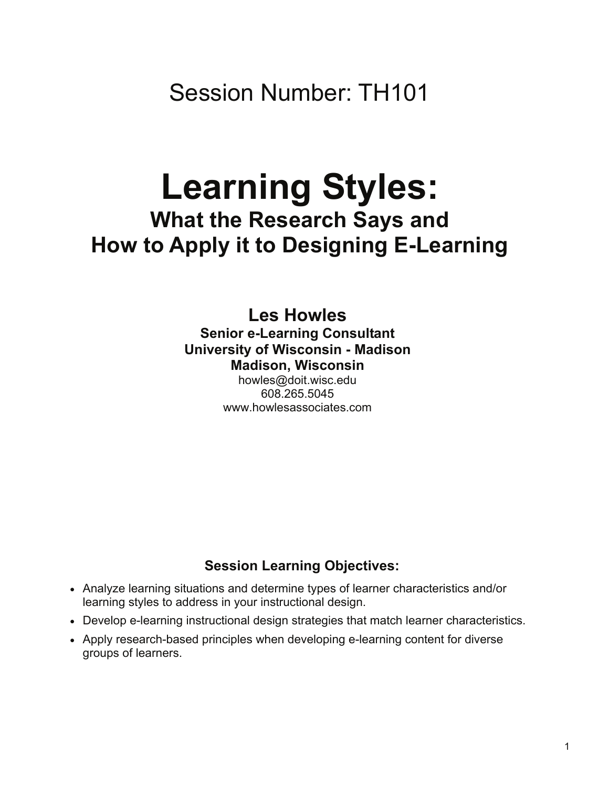Session Number: TH101

# **Learning Styles:**

# **What the Research Says and How to Apply it to Designing E-Learning**

#### **Les Howles Senior e-Learning Consultant University of Wisconsin - Madison Madison, Wisconsin**

howles@doit.wisc.edu 608.265.5045 www.howlesassociates.com

#### **Session Learning Objectives:**

- Analyze learning situations and determine types of learner characteristics and/or learning styles to address in your instructional design.
- Develop e-learning instructional design strategies that match learner characteristics.
- Apply research-based principles when developing e-learning content for diverse groups of learners.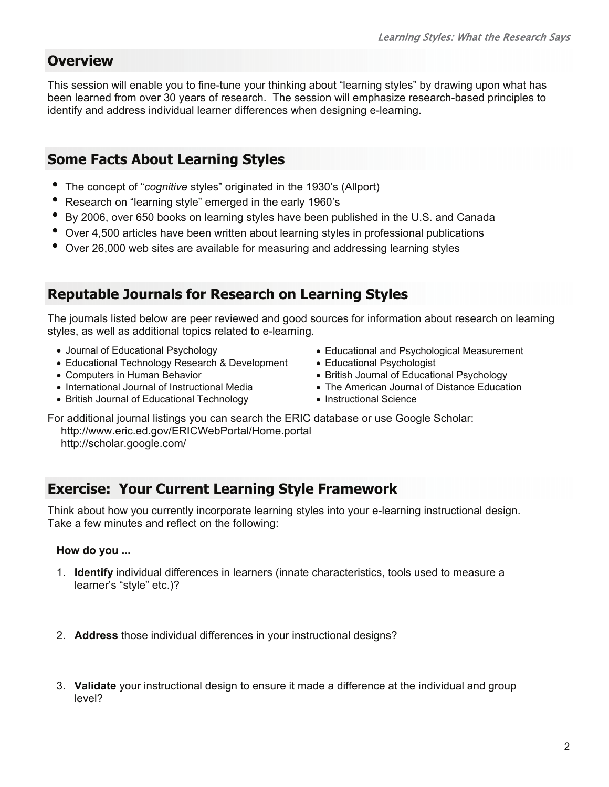#### **Overview**

This session will enable you to fine-tune your thinking about "learning styles" by drawing upon what has been learned from over 30 years of research. The session will emphasize research-based principles to identify and address individual learner differences when designing e-learning.

### **Some Facts About Learning Styles**

- The concept of "*cognitive* styles" originated in the 1930's (Allport)
- Research on "learning style" emerged in the early 1960's
- By 2006, over 650 books on learning styles have been published in the U.S. and Canada
- Over 4,500 articles have been written about learning styles in professional publications
- Over 26,000 web sites are available for measuring and addressing learning styles

#### **Reputable Journals for Research on Learning Styles**

The journals listed below are peer reviewed and good sources for information about research on learning styles, as well as additional topics related to e-learning.

- Journal of Educational Psychology
- Educational Technology Research & Development
- Computers in Human Behavior
- International Journal of Instructional Media
- British Journal of Educational Technology
- Educational and Psychological Measurement
- Educational Psychologist
- British Journal of Educational Psychology
- The American Journal of Distance Education
- Instructional Science

For additional journal listings you can search the ERIC database or use Google Scholar: http://www.eric.ed.gov/ERICWebPortal/Home.portal http://scholar.google.com/

#### **Exercise: Your Current Learning Style Framework**

Think about how you currently incorporate learning styles into your e-learning instructional design. Take a few minutes and reflect on the following:

#### **How do you ...**

- 1. **Identify** individual differences in learners (innate characteristics, tools used to measure a learner's "style" etc.)?
- 2. **Address** those individual differences in your instructional designs?
- 3. **Validate** your instructional design to ensure it made a difference at the individual and group level?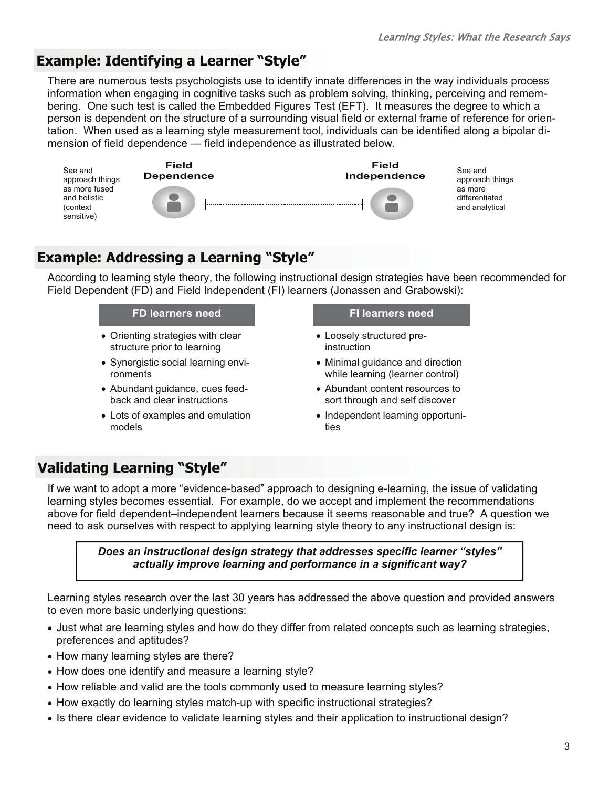#### **Example: Identifying a Learner "Style"**

There are numerous tests psychologists use to identify innate differences in the way individuals process information when engaging in cognitive tasks such as problem solving, thinking, perceiving and remembering. One such test is called the Embedded Figures Test (EFT). It measures the degree to which a person is dependent on the structure of a surrounding visual field or external frame of reference for orientation. When used as a learning style measurement tool, individuals can be identified along a bipolar dimension of field dependence — field independence as illustrated below.



# **Example: Addressing a Learning "Style"**

According to learning style theory, the following instructional design strategies have been recommended for Field Dependent (FD) and Field Independent (FI) learners (Jonassen and Grabowski):

#### **FD learners need FI learners need**

- Orienting strategies with clear structure prior to learning
- Synergistic social learning environments
- Abundant guidance, cues feedback and clear instructions
- Lots of examples and emulation models

- Loosely structured preinstruction
- Minimal guidance and direction while learning (learner control)
- Abundant content resources to sort through and self discover
- Independent learning opportunities

#### **Validating Learning "Style"**

If we want to adopt a more "evidence-based" approach to designing e-learning, the issue of validating learning styles becomes essential. For example, do we accept and implement the recommendations above for field dependent–independent learners because it seems reasonable and true? A question we need to ask ourselves with respect to applying learning style theory to any instructional design is:

> *Does an instructional design strategy that addresses specific learner "styles" actually improve learning and performance in a significant way?*

Learning styles research over the last 30 years has addressed the above question and provided answers to even more basic underlying questions:

- Just what are learning styles and how do they differ from related concepts such as learning strategies, preferences and aptitudes?
- How many learning styles are there?
- How does one identify and measure a learning style?
- How reliable and valid are the tools commonly used to measure learning styles?
- How exactly do learning styles match-up with specific instructional strategies?
- Is there clear evidence to validate learning styles and their application to instructional design?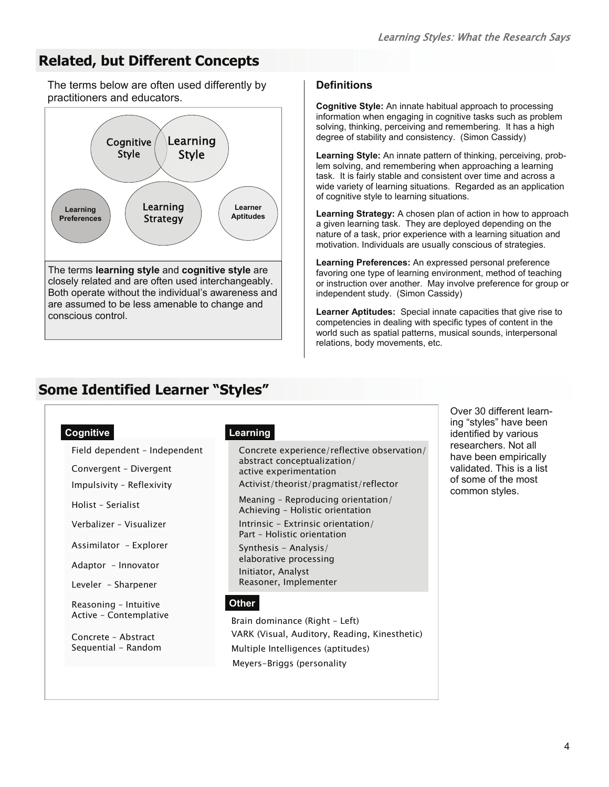#### **Related, but Different Concepts**

The terms below are often used differently by practitioners and educators.



#### **Definitions**

**Cognitive Style:** An innate habitual approach to processing information when engaging in cognitive tasks such as problem solving, thinking, perceiving and remembering. It has a high degree of stability and consistency. (Simon Cassidy)

**Learning Style:** An innate pattern of thinking, perceiving, problem solving, and remembering when approaching a learning task. It is fairly stable and consistent over time and across a wide variety of learning situations. Regarded as an application of cognitive style to learning situations.

**Learning Strategy:** A chosen plan of action in how to approach a given learning task. They are deployed depending on the nature of a task, prior experience with a learning situation and motivation. Individuals are usually conscious of strategies.

**Learning Preferences:** An expressed personal preference favoring one type of learning environment, method of teaching or instruction over another. May involve preference for group or independent study. (Simon Cassidy)

**Learner Aptitudes:** Special innate capacities that give rise to competencies in dealing with specific types of content in the world such as spatial patterns, musical sounds, interpersonal relations, body movements, etc.

#### **Some Identified Learner "Styles"**

#### **Cognitive**

|  | ı | mır | 16 |
|--|---|-----|----|
|  |   |     |    |

Field dependent – Independent Convergent – Divergent Impulsivity – Reflexivity Holist – Serialist Verbalizer – Visualizer Assimilator – Explorer Adaptor – Innovator Leveler – Sharpener Reasoning – Intuitive Active – Contemplative Concrete – Abstract Sequential - Random

Concrete experience/reflective observation/ abstract conceptualization/ active experimentation Meaning – Reproducing orientation/ Achieving – Holistic orientation Intrinsic - Extrinsic orientation/ Part – Holistic orientation Synthesis - Analysis/ elaborative processing Initiator, Analyst Reasoner, Implementer Activist/theorist/pragmatist/reflector

#### **Other**

Brain dominance (Right – Left) VARK (Visual, Auditory, Reading, Kinesthetic) Multiple Intelligences (aptitudes) Meyers-Briggs (personality

Over 30 different learning "styles" have been identified by various researchers. Not all have been empirically validated. This is a list of some of the most common styles.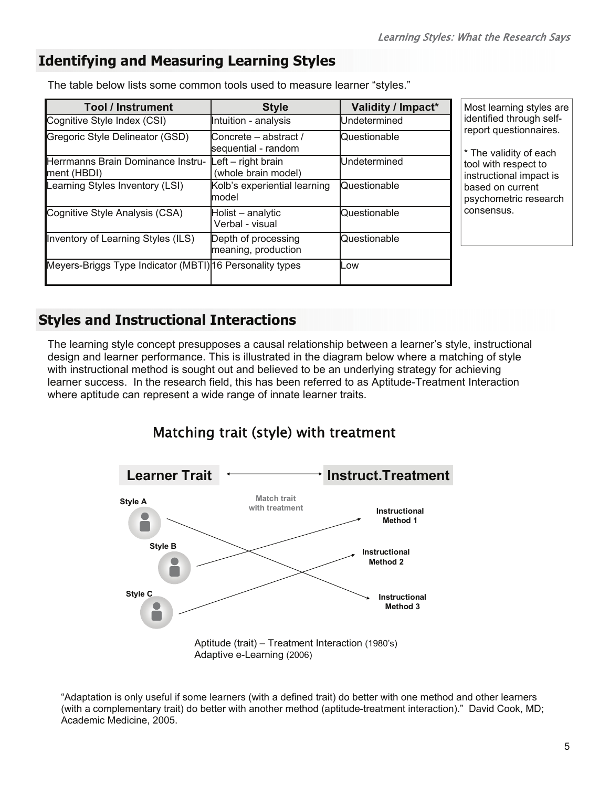### **Identifying and Measuring Learning Styles**

| <b>Tool / Instrument</b>                                 | <b>Style</b>                                 | <b>Validity / Impact*</b> |
|----------------------------------------------------------|----------------------------------------------|---------------------------|
| Cognitive Style Index (CSI)                              | Intuition - analysis                         | Undetermined              |
| Gregoric Style Delineator (GSD)                          | Concrete – abstract /<br>sequential - random | Questionable              |
| Herrmanns Brain Dominance Instru-<br>ment (HBDI)         | Left $-$ right brain<br>(whole brain model)  | <b>Undetermined</b>       |
| Learning Styles Inventory (LSI)                          | Kolb's experiential learning<br>lmodel       | Questionable              |
| Cognitive Style Analysis (CSA)                           | Holist - analytic<br>Verbal - visual         | Questionable              |
| Inventory of Learning Styles (ILS)                       | Depth of processing<br>meaning, production   | Questionable              |
| Meyers-Briggs Type Indicator (MBTI) 16 Personality types |                                              | Low                       |

The table below lists some common tools used to measure learner "styles."

Most learning styles are identified through selfreport questionnaires.

\* The validity of each tool with respect to instructional impact is based on current psychometric research consensus.

#### **Styles and Instructional Interactions**

The learning style concept presupposes a causal relationship between a learner's style, instructional design and learner performance. This is illustrated in the diagram below where a matching of style with instructional method is sought out and believed to be an underlying strategy for achieving learner success. In the research field, this has been referred to as Aptitude-Treatment Interaction where aptitude can represent a wide range of innate learner traits.

#### Matching trait (style) with treatment



"Adaptation is only useful if some learners (with a defined trait) do better with one method and other learners (with a complementary trait) do better with another method (aptitude-treatment interaction)." David Cook, MD; Academic Medicine, 2005.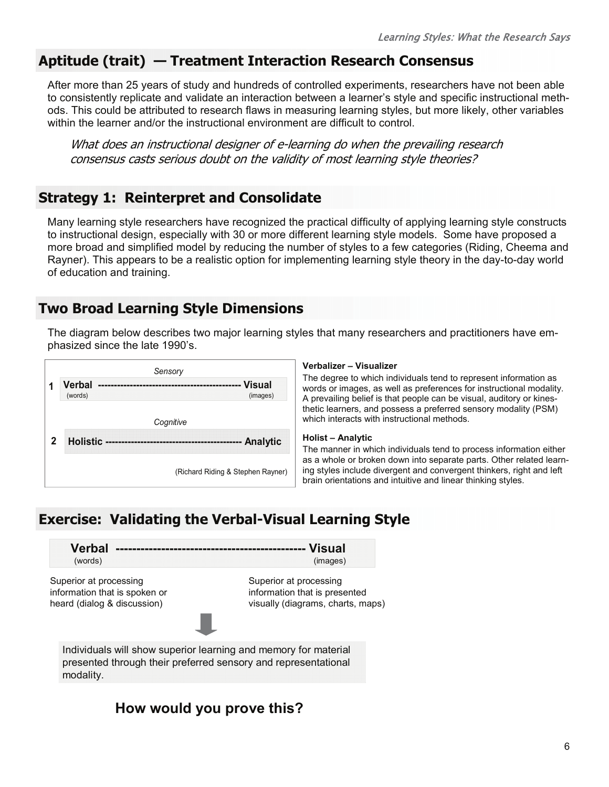#### **Aptitude (trait) — Treatment Interaction Research Consensus**

After more than 25 years of study and hundreds of controlled experiments, researchers have not been able to consistently replicate and validate an interaction between a learner's style and specific instructional methods. This could be attributed to research flaws in measuring learning styles, but more likely, other variables within the learner and/or the instructional environment are difficult to control.

What does an instructional designer of e-learning do when the prevailing research consensus casts serious doubt on the validity of most learning style theories?

#### **Strategy 1: Reinterpret and Consolidate**

Many learning style researchers have recognized the practical difficulty of applying learning style constructs to instructional design, especially with 30 or more different learning style models. Some have proposed a more broad and simplified model by reducing the number of styles to a few categories (Riding, Cheema and Rayner). This appears to be a realistic option for implementing learning style theory in the day-to-day world of education and training.

#### **Two Broad Learning Style Dimensions**

The diagram below describes two major learning styles that many researchers and practitioners have emphasized since the late 1990's.



#### **Verbalizer – Visualizer**

The degree to which individuals tend to represent information as words or images, as well as preferences for instructional modality. A prevailing belief is that people can be visual, auditory or kinesthetic learners, and possess a preferred sensory modality (PSM) which interacts with instructional methods.

#### **Holist – Analytic**

The manner in which individuals tend to process information either as a whole or broken down into separate parts. Other related learning styles include divergent and convergent thinkers, right and left brain orientations and intuitive and linear thinking styles.

# **Exercise: Validating the Verbal-Visual Learning Style**

| Verbal                                                                                                                                         | Visual                            |  |  |
|------------------------------------------------------------------------------------------------------------------------------------------------|-----------------------------------|--|--|
| (words)                                                                                                                                        | (images)                          |  |  |
| Superior at processing                                                                                                                         | Superior at processing            |  |  |
| information that is spoken or                                                                                                                  | information that is presented     |  |  |
| heard (dialog & discussion)                                                                                                                    | visually (diagrams, charts, maps) |  |  |
| Individuals will show superior learning and memory for material<br>presented through their preferred sensory and representational<br>modality. |                                   |  |  |

#### **How would you prove this?**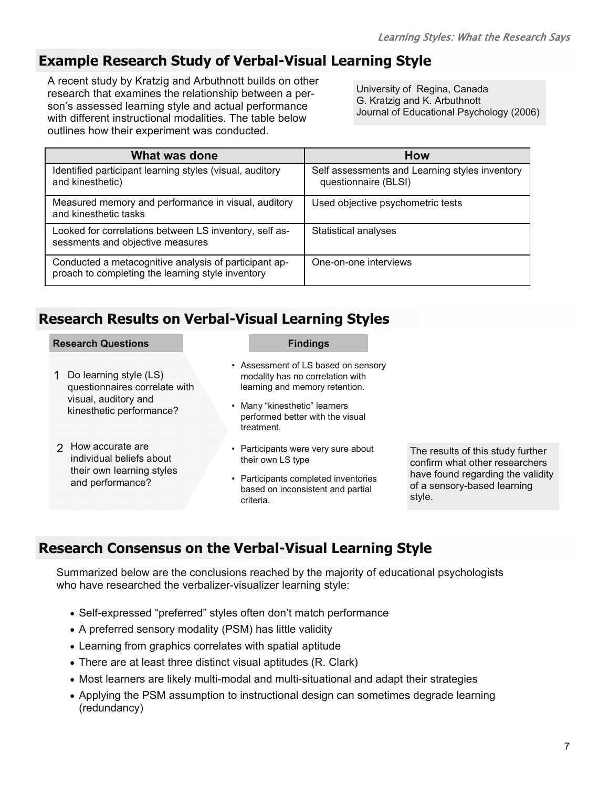#### **Example Research Study of Verbal-Visual Learning Style**

A recent study by Kratzig and Arbuthnott builds on other research that examines the relationship between a person's assessed learning style and actual performance with different instructional modalities. The table below outlines how their experiment was conducted.

University of Regina, Canada G. Kratzig and K. Arbuthnott Journal of Educational Psychology (2006)

| What was done                                                                                              | <b>How</b>                                                             |
|------------------------------------------------------------------------------------------------------------|------------------------------------------------------------------------|
| Identified participant learning styles (visual, auditory<br>and kinesthetic)                               | Self assessments and Learning styles inventory<br>questionnaire (BLSI) |
| Measured memory and performance in visual, auditory<br>and kinesthetic tasks                               | Used objective psychometric tests                                      |
| Looked for correlations between LS inventory, self as-<br>sessments and objective measures                 | Statistical analyses                                                   |
| Conducted a metacognitive analysis of participant ap-<br>proach to completing the learning style inventory | One-on-one interviews                                                  |

#### **Research Results on Verbal-Visual Learning Styles**

| <b>Research Questions</b>                                                                                   | <b>Findings</b>                                                                                                                                                                              |                                                                                                                                                   |
|-------------------------------------------------------------------------------------------------------------|----------------------------------------------------------------------------------------------------------------------------------------------------------------------------------------------|---------------------------------------------------------------------------------------------------------------------------------------------------|
| Do learning style (LS)<br>questionnaires correlate with<br>visual, auditory and<br>kinesthetic performance? | • Assessment of LS based on sensory<br>modality has no correlation with<br>learning and memory retention.<br>• Many "kinesthetic" learners<br>performed better with the visual<br>treatment. |                                                                                                                                                   |
| 2 How accurate are<br>individual beliefs about<br>their own learning styles<br>and performance?             | • Participants were very sure about<br>their own LS type<br>• Participants completed inventories<br>based on inconsistent and partial<br>criteria.                                           | The results of this study further<br>confirm what other researchers<br>have found regarding the validity<br>of a sensory-based learning<br>style. |

#### **Research Consensus on the Verbal-Visual Learning Style**

Summarized below are the conclusions reached by the majority of educational psychologists who have researched the verbalizer-visualizer learning style:

- Self-expressed "preferred" styles often don't match performance
- A preferred sensory modality (PSM) has little validity
- Learning from graphics correlates with spatial aptitude
- There are at least three distinct visual aptitudes (R. Clark)
- Most learners are likely multi-modal and multi-situational and adapt their strategies
- Applying the PSM assumption to instructional design can sometimes degrade learning (redundancy)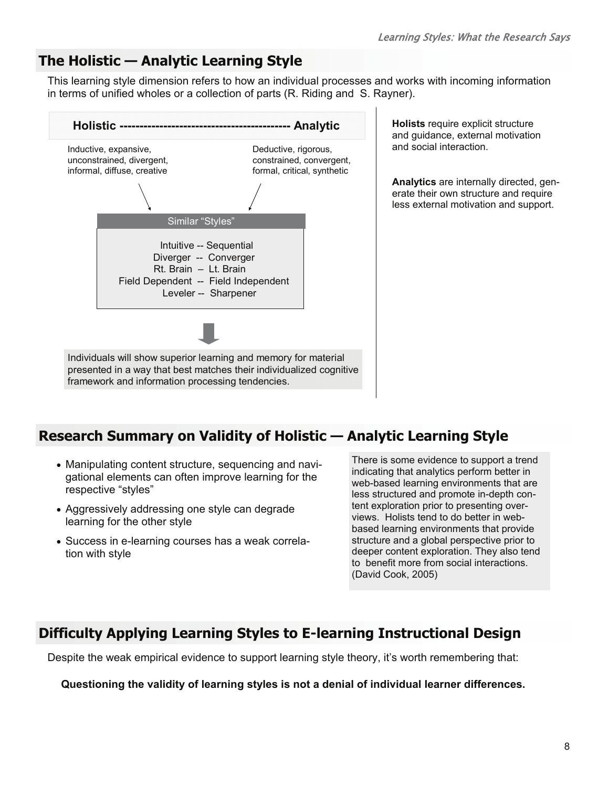#### **The Holistic — Analytic Learning Style**

This learning style dimension refers to how an individual processes and works with incoming information in terms of unified wholes or a collection of parts (R. Riding and S. Rayner).



**Holists** require explicit structure and guidance, external motivation and social interaction.

**Analytics** are internally directed, generate their own structure and require less external motivation and support.

#### **Research Summary on Validity of Holistic — Analytic Learning Style**

- Manipulating content structure, sequencing and navigational elements can often improve learning for the respective "styles"
- Aggressively addressing one style can degrade learning for the other style
- Success in e-learning courses has a weak correlation with style

There is some evidence to support a trend indicating that analytics perform better in web-based learning environments that are less structured and promote in-depth content exploration prior to presenting overviews. Holists tend to do better in webbased learning environments that provide structure and a global perspective prior to deeper content exploration. They also tend to benefit more from social interactions. (David Cook, 2005)

#### **Difficulty Applying Learning Styles to E-learning Instructional Design**

Despite the weak empirical evidence to support learning style theory, it's worth remembering that:

**Questioning the validity of learning styles is not a denial of individual learner differences.**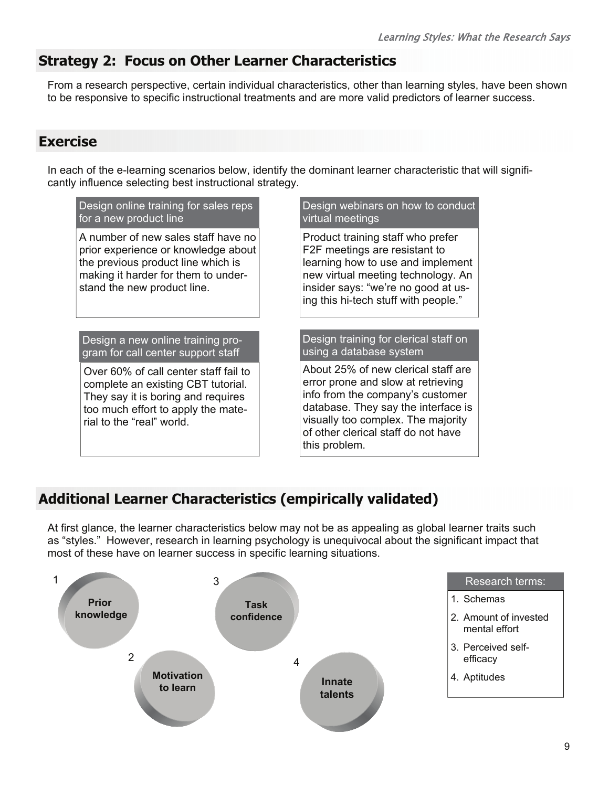#### **Strategy 2: Focus on Other Learner Characteristics**

From a research perspective, certain individual characteristics, other than learning styles, have been shown to be responsive to specific instructional treatments and are more valid predictors of learner success.

#### **Exercise**

In each of the e-learning scenarios below, identify the dominant learner characteristic that will significantly influence selecting best instructional strategy.

Design online training for sales reps for a new product line

A number of new sales staff have no prior experience or knowledge about the previous product line which is making it harder for them to understand the new product line.

Design a new online training program for call center support staff

Over 60% of call center staff fail to complete an existing CBT tutorial. They say it is boring and requires too much effort to apply the material to the "real" world.

Design webinars on how to conduct virtual meetings

Product training staff who prefer F2F meetings are resistant to learning how to use and implement new virtual meeting technology. An insider says: "we're no good at using this hi-tech stuff with people."

Design training for clerical staff on using a database system

About 25% of new clerical staff are error prone and slow at retrieving info from the company's customer database. They say the interface is visually too complex. The majority of other clerical staff do not have this problem.

# **Additional Learner Characteristics (empirically validated)**

At first glance, the learner characteristics below may not be as appealing as global learner traits such as "styles." However, research in learning psychology is unequivocal about the significant impact that most of these have on learner success in specific learning situations.

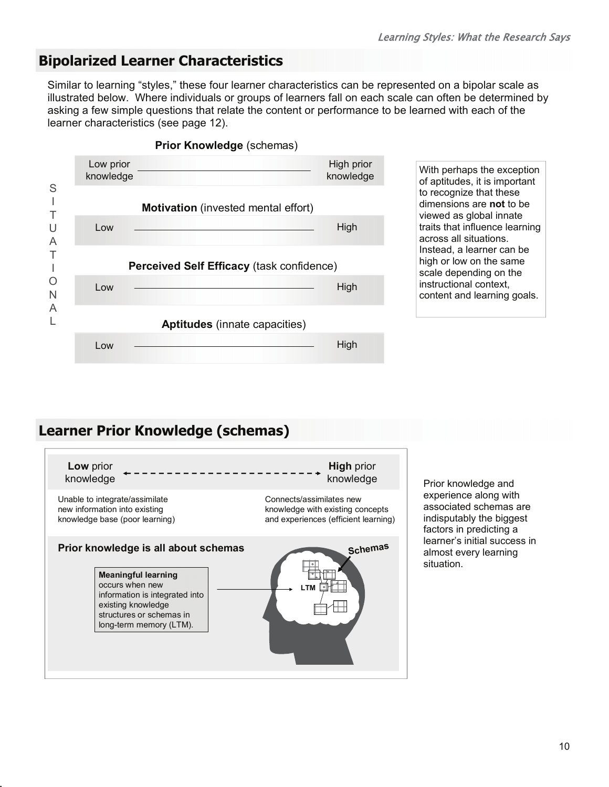#### **Bipolarized Learner Characteristics**

Similar to learning "styles," these four learner characteristics can be represented on a bipolar scale as illustrated below. Where individuals or groups of learners fall on each scale can often be determined by asking a few simple questions that relate the content or performance to be learned with each of the learner characteristics (see page 12).



With perhaps the exception of aptitudes, it is important to recognize that these dimensions are **not** to be viewed as global innate traits that influence learning across all situations. Instead, a learner can be high or low on the same scale depending on the instructional context, content and learning goals.

#### **Learner Prior Knowledge (schemas)**



Prior knowledge and experience along with associated schemas are indisputably the biggest factors in predicting a learner's initial success in almost every learning situation.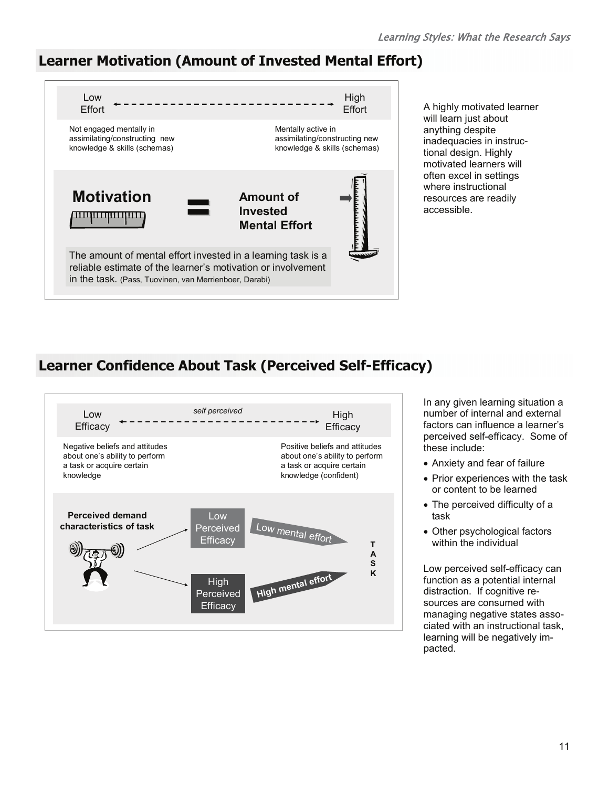#### **Learner Motivation (Amount of Invested Mental Effort)**



A highly motivated learner will learn just about anything despite inadequacies in instructional design. Highly motivated learners will often excel in settings where instructional resources are readily accessible.

# **Learner Confidence About Task (Perceived Self-Efficacy)**



In any given learning situation a number of internal and external factors can influence a learner's perceived self-efficacy. Some of these include:

- Anxiety and fear of failure
- Prior experiences with the task or content to be learned
- The perceived difficulty of a task
- Other psychological factors within the individual

Low perceived self-efficacy can function as a potential internal distraction. If cognitive resources are consumed with managing negative states associated with an instructional task, learning will be negatively impacted.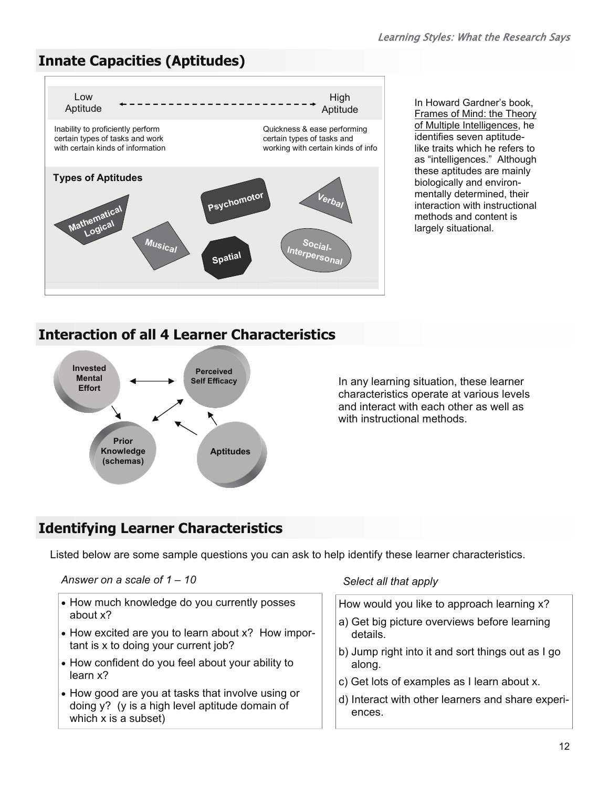# **Innate Capacities (Aptitudes)**



In Howard Gardner's book, Frames of Mind: the Theory of Multiple Intelligences, he identifies seven aptitudelike traits which he refers to as "intelligences." Although these aptitudes are mainly biologically and environmentally determined, their interaction with instructional methods and content is largely situational.

#### **Interaction of all 4 Learner Characteristics**



In any learning situation, these learner characteristics operate at various levels and interact with each other as well as with instructional methods.

# **Identifying Learner Characteristics**

Listed below are some sample questions you can ask to help identify these learner characteristics.

#### *Answer on a scale of 1 – 10*

- How much knowledge do you currently posses about x?
- How excited are you to learn about x? How important is x to doing your current job?
- How confident do you feel about your ability to learn x?
- How good are you at tasks that involve using or doing y? (y is a high level aptitude domain of which x is a subset)

#### *Select all that apply*

- How would you like to approach learning x?
- a) Get big picture overviews before learning details.
- b) Jump right into it and sort things out as I go along.
- c) Get lots of examples as I learn about x.
- d) Interact with other learners and share experiences.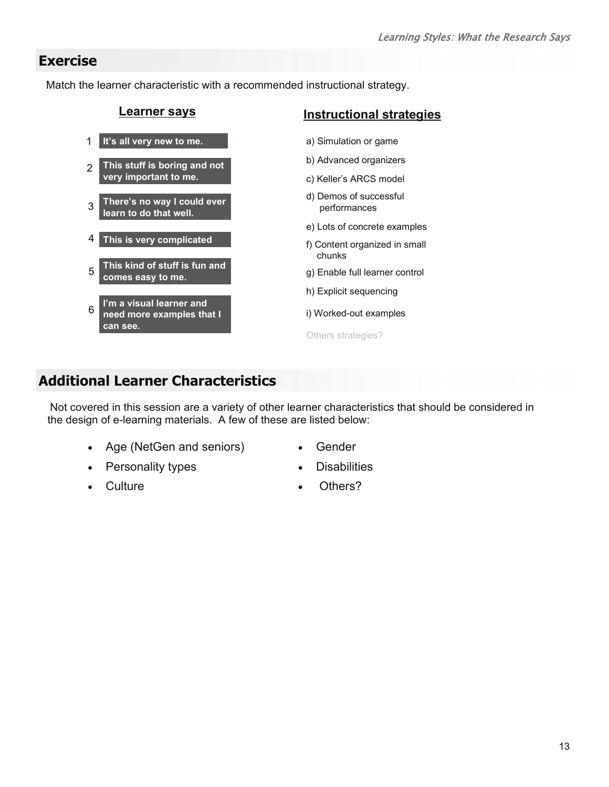# **Exercise**

1

Match the learner characteristic with a recommended instructional strategy.

# **Learner says It's all very new to me.**

- **This stuff is boring and not**  2
- **There's no way I could ever learn to do that well.** 3
- **This is very complicated** 4
- **This kind of stuff is fun and comes easy to me.** <sup>5</sup>
- **I'm a visual learner and need more examples that I can see.** 6

#### **Instructional strategies**

- a) Simulation or game
- b) Advanced organizers
- **very important to me. and the contract of the c**) Keller's ARCS model
	- d) Demos of successful performances
	- e) Lots of concrete examples
	- f) Content organized in small chunks
	- g) Enable full learner control
	- h) Explicit sequencing
	- i) Worked-out examples

Others strategies?

# **Additional Learner Characteristics**

Not covered in this session are a variety of other learner characteristics that should be considered in the design of e-learning materials. A few of these are listed below:

- Age (NetGen and seniors)
- Gender

- Personality types
- Culture
- **Disabilities**
- Others?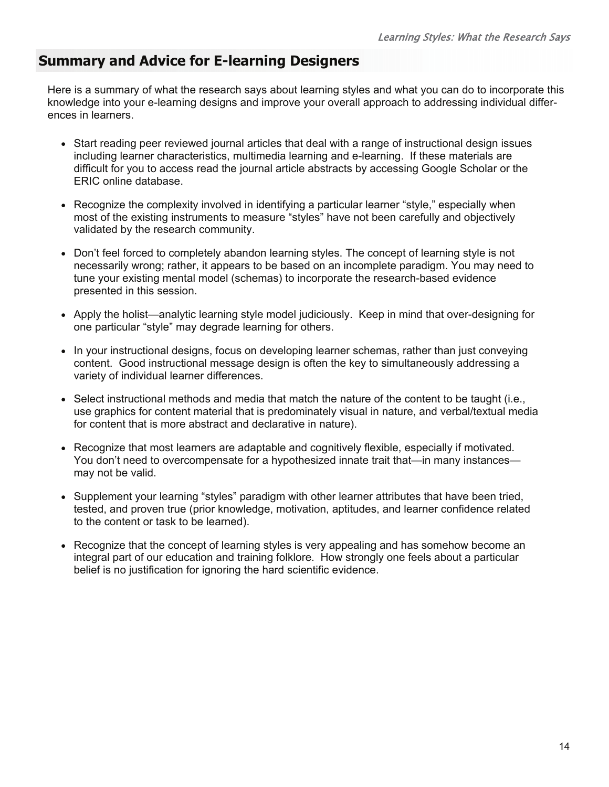#### **Summary and Advice for E-learning Designers**

Here is a summary of what the research says about learning styles and what you can do to incorporate this knowledge into your e-learning designs and improve your overall approach to addressing individual differences in learners.

- Start reading peer reviewed journal articles that deal with a range of instructional design issues including learner characteristics, multimedia learning and e-learning. If these materials are difficult for you to access read the journal article abstracts by accessing Google Scholar or the ERIC online database.
- Recognize the complexity involved in identifying a particular learner "style," especially when most of the existing instruments to measure "styles" have not been carefully and objectively validated by the research community.
- Don't feel forced to completely abandon learning styles. The concept of learning style is not necessarily wrong; rather, it appears to be based on an incomplete paradigm. You may need to tune your existing mental model (schemas) to incorporate the research-based evidence presented in this session.
- Apply the holist—analytic learning style model judiciously. Keep in mind that over-designing for one particular "style" may degrade learning for others.
- In your instructional designs, focus on developing learner schemas, rather than just conveying content. Good instructional message design is often the key to simultaneously addressing a variety of individual learner differences.
- Select instructional methods and media that match the nature of the content to be taught (i.e., use graphics for content material that is predominately visual in nature, and verbal/textual media for content that is more abstract and declarative in nature).
- Recognize that most learners are adaptable and cognitively flexible, especially if motivated. You don't need to overcompensate for a hypothesized innate trait that—in many instances may not be valid.
- Supplement your learning "styles" paradigm with other learner attributes that have been tried, tested, and proven true (prior knowledge, motivation, aptitudes, and learner confidence related to the content or task to be learned).
- Recognize that the concept of learning styles is very appealing and has somehow become an integral part of our education and training folklore. How strongly one feels about a particular belief is no justification for ignoring the hard scientific evidence.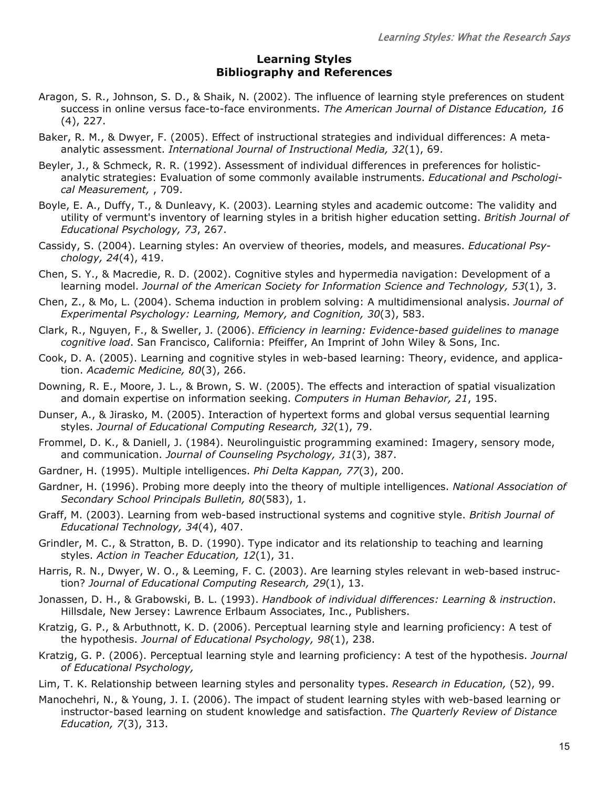#### **Learning Styles Bibliography and References**

- Aragon, S. R., Johnson, S. D., & Shaik, N. (2002). The influence of learning style preferences on student success in online versus face-to-face environments. *The American Journal of Distance Education, 16* (4), 227.
- Baker, R. M., & Dwyer, F. (2005). Effect of instructional strategies and individual differences: A metaanalytic assessment. *International Journal of Instructional Media, 32*(1), 69.
- Beyler, J., & Schmeck, R. R. (1992). Assessment of individual differences in preferences for holisticanalytic strategies: Evaluation of some commonly available instruments. *Educational and Pschological Measurement,* , 709.
- Boyle, E. A., Duffy, T., & Dunleavy, K. (2003). Learning styles and academic outcome: The validity and utility of vermunt's inventory of learning styles in a british higher education setting. *British Journal of Educational Psychology, 73*, 267.
- Cassidy, S. (2004). Learning styles: An overview of theories, models, and measures. *Educational Psychology, 24*(4), 419.
- Chen, S. Y., & Macredie, R. D. (2002). Cognitive styles and hypermedia navigation: Development of a learning model. *Journal of the American Society for Information Science and Technology, 53*(1), 3.
- Chen, Z., & Mo, L. (2004). Schema induction in problem solving: A multidimensional analysis. *Journal of Experimental Psychology: Learning, Memory, and Cognition, 30*(3), 583.
- Clark, R., Nguyen, F., & Sweller, J. (2006). *Efficiency in learning: Evidence-based guidelines to manage cognitive load*. San Francisco, California: Pfeiffer, An Imprint of John Wiley & Sons, Inc.
- Cook, D. A. (2005). Learning and cognitive styles in web-based learning: Theory, evidence, and application. *Academic Medicine, 80*(3), 266.
- Downing, R. E., Moore, J. L., & Brown, S. W. (2005). The effects and interaction of spatial visualization and domain expertise on information seeking. *Computers in Human Behavior, 21*, 195.
- Dunser, A., & Jirasko, M. (2005). Interaction of hypertext forms and global versus sequential learning styles. *Journal of Educational Computing Research, 32*(1), 79.
- Frommel, D. K., & Daniell, J. (1984). Neurolinguistic programming examined: Imagery, sensory mode, and communication. *Journal of Counseling Psychology, 31*(3), 387.
- Gardner, H. (1995). Multiple intelligences. *Phi Delta Kappan, 77*(3), 200.
- Gardner, H. (1996). Probing more deeply into the theory of multiple intelligences. *National Association of Secondary School Principals Bulletin, 80*(583), 1.
- Graff, M. (2003). Learning from web-based instructional systems and cognitive style. *British Journal of Educational Technology, 34*(4), 407.
- Grindler, M. C., & Stratton, B. D. (1990). Type indicator and its relationship to teaching and learning styles. *Action in Teacher Education, 12*(1), 31.
- Harris, R. N., Dwyer, W. O., & Leeming, F. C. (2003). Are learning styles relevant in web-based instruction? *Journal of Educational Computing Research, 29*(1), 13.
- Jonassen, D. H., & Grabowski, B. L. (1993). *Handbook of individual differences: Learning & instruction*. Hillsdale, New Jersey: Lawrence Erlbaum Associates, Inc., Publishers.
- Kratzig, G. P., & Arbuthnott, K. D. (2006). Perceptual learning style and learning proficiency: A test of the hypothesis. *Journal of Educational Psychology, 98*(1), 238.
- Kratzig, G. P. (2006). Perceptual learning style and learning proficiency: A test of the hypothesis. *Journal of Educational Psychology,*
- Lim, T. K. Relationship between learning styles and personality types. *Research in Education,* (52), 99.
- Manochehri, N., & Young, J. I. (2006). The impact of student learning styles with web-based learning or instructor-based learning on student knowledge and satisfaction. *The Quarterly Review of Distance Education, 7*(3), 313.